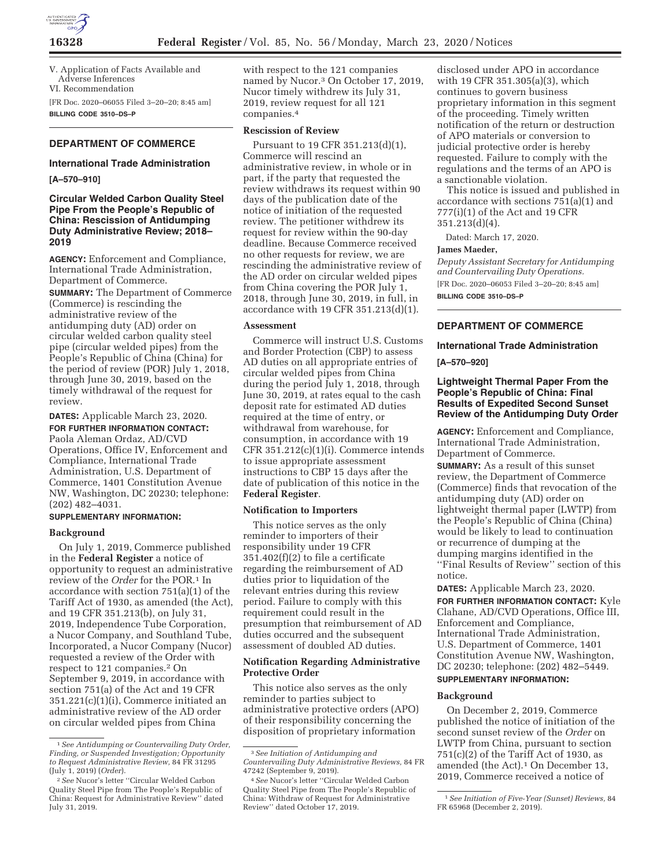

V. Application of Facts Available and Adverse Inferences VI. Recommendation

[FR Doc. 2020–06055 Filed 3–20–20; 8:45 am] **BILLING CODE 3510–DS–P** 

# **DEPARTMENT OF COMMERCE International Trade Administration**

#### **[A–570–910]**

### **Circular Welded Carbon Quality Steel Pipe From the People's Republic of China: Rescission of Antidumping Duty Administrative Review; 2018– 2019**

**AGENCY:** Enforcement and Compliance, International Trade Administration, Department of Commerce.

**SUMMARY:** The Department of Commerce (Commerce) is rescinding the administrative review of the antidumping duty (AD) order on circular welded carbon quality steel pipe (circular welded pipes) from the People's Republic of China (China) for the period of review (POR) July 1, 2018, through June 30, 2019, based on the timely withdrawal of the request for review.

**DATES:** Applicable March 23, 2020. **FOR FURTHER INFORMATION CONTACT:**  Paola Aleman Ordaz, AD/CVD Operations, Office IV, Enforcement and Compliance, International Trade Administration, U.S. Department of Commerce, 1401 Constitution Avenue NW, Washington, DC 20230; telephone: (202) 482–4031.

#### **SUPPLEMENTARY INFORMATION:**

#### **Background**

On July 1, 2019, Commerce published in the **Federal Register** a notice of opportunity to request an administrative review of the *Order* for the POR.1 In accordance with section 751(a)(1) of the Tariff Act of 1930, as amended (the Act), and 19 CFR 351.213(b), on July 31, 2019, Independence Tube Corporation, a Nucor Company, and Southland Tube, Incorporated, a Nucor Company (Nucor) requested a review of the Order with respect to 121 companies.2 On September 9, 2019, in accordance with section 751(a) of the Act and 19 CFR 351.221(c)(1)(i), Commerce initiated an administrative review of the AD order on circular welded pipes from China

with respect to the 121 companies named by Nucor.3 On October 17, 2019, Nucor timely withdrew its July 31, 2019, review request for all 121 companies.4

#### **Rescission of Review**

Pursuant to 19 CFR 351.213(d)(1), Commerce will rescind an administrative review, in whole or in part, if the party that requested the review withdraws its request within 90 days of the publication date of the notice of initiation of the requested review. The petitioner withdrew its request for review within the 90-day deadline. Because Commerce received no other requests for review, we are rescinding the administrative review of the AD order on circular welded pipes from China covering the POR July 1, 2018, through June 30, 2019, in full, in accordance with 19 CFR 351.213(d)(1).

#### **Assessment**

Commerce will instruct U.S. Customs and Border Protection (CBP) to assess AD duties on all appropriate entries of circular welded pipes from China during the period July 1, 2018, through June 30, 2019, at rates equal to the cash deposit rate for estimated AD duties required at the time of entry, or withdrawal from warehouse, for consumption, in accordance with 19 CFR  $351.212(c)(1)(i)$ . Commerce intends to issue appropriate assessment instructions to CBP 15 days after the date of publication of this notice in the **Federal Register**.

#### **Notification to Importers**

This notice serves as the only reminder to importers of their responsibility under 19 CFR  $351.402(f)(2)$  to file a certificate regarding the reimbursement of AD duties prior to liquidation of the relevant entries during this review period. Failure to comply with this requirement could result in the presumption that reimbursement of AD duties occurred and the subsequent assessment of doubled AD duties.

#### **Notification Regarding Administrative Protective Order**

This notice also serves as the only reminder to parties subject to administrative protective orders (APO) of their responsibility concerning the disposition of proprietary information

disclosed under APO in accordance with 19 CFR 351.305(a)(3), which continues to govern business proprietary information in this segment of the proceeding. Timely written notification of the return or destruction of APO materials or conversion to judicial protective order is hereby requested. Failure to comply with the regulations and the terms of an APO is a sanctionable violation.

This notice is issued and published in accordance with sections 751(a)(1) and 777(i)(1) of the Act and 19 CFR 351.213(d)(4).

Dated: March 17, 2020.

#### **James Maeder,**

*Deputy Assistant Secretary for Antidumping and Countervailing Duty Operations.*  [FR Doc. 2020–06053 Filed 3–20–20; 8:45 am] **BILLING CODE 3510–DS–P** 

#### **DEPARTMENT OF COMMERCE**

## **International Trade Administration [A–570–920]**

#### **Lightweight Thermal Paper From the People's Republic of China: Final Results of Expedited Second Sunset Review of the Antidumping Duty Order**

**AGENCY:** Enforcement and Compliance, International Trade Administration, Department of Commerce.

**SUMMARY:** As a result of this sunset review, the Department of Commerce (Commerce) finds that revocation of the antidumping duty (AD) order on lightweight thermal paper (LWTP) from the People's Republic of China (China) would be likely to lead to continuation or recurrence of dumping at the dumping margins identified in the ''Final Results of Review'' section of this notice.

**DATES:** Applicable March 23, 2020. **FOR FURTHER INFORMATION CONTACT:** Kyle Clahane, AD/CVD Operations, Office III, Enforcement and Compliance, International Trade Administration, U.S. Department of Commerce, 1401 Constitution Avenue NW, Washington, DC 20230; telephone: (202) 482–5449.

# **SUPPLEMENTARY INFORMATION:**

#### **Background**

On December 2, 2019, Commerce published the notice of initiation of the second sunset review of the *Order* on LWTP from China, pursuant to section  $751(c)(2)$  of the Tariff Act of 1930, as amended (the Act).<sup>1</sup> On December 13, 2019, Commerce received a notice of

<sup>1</sup>*See Antidumping or Countervailing Duty Order, Finding, or Suspended Investigation; Opportunity to Request Administrative Review,* 84 FR 31295 (July 1, 2019) (*Order*).

<sup>2</sup>*See* Nucor's letter ''Circular Welded Carbon Quality Steel Pipe from The People's Republic of China: Request for Administrative Review'' dated July 31, 2019.

<sup>3</sup>*See Initiation of Antidumping and Countervailing Duty Administrative Reviews,* 84 FR 47242 (September 9, 2019).

<sup>4</sup>*See* Nucor's letter ''Circular Welded Carbon Quality Steel Pipe from The People's Republic of China: Withdraw of Request for Administrative Review'' dated October 17, 2019.

<sup>1</sup>*See Initiation of Five-Year (Sunset) Reviews,* 84 FR 65968 (December 2, 2019).